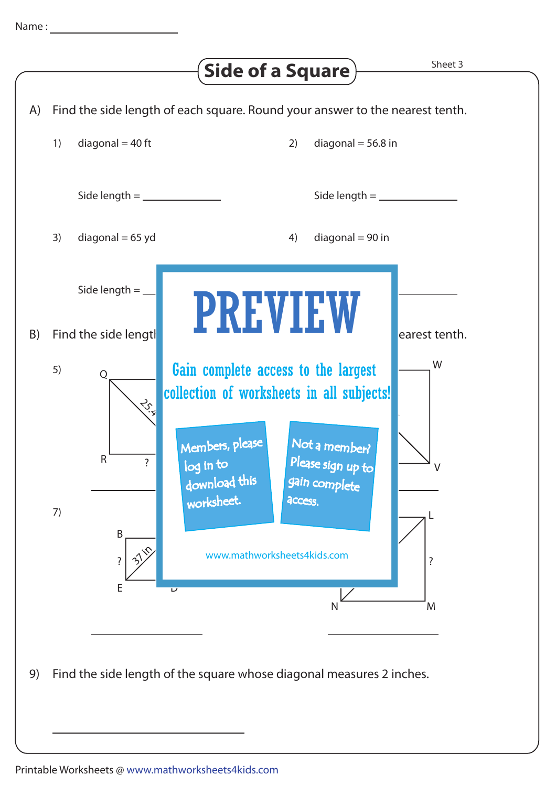